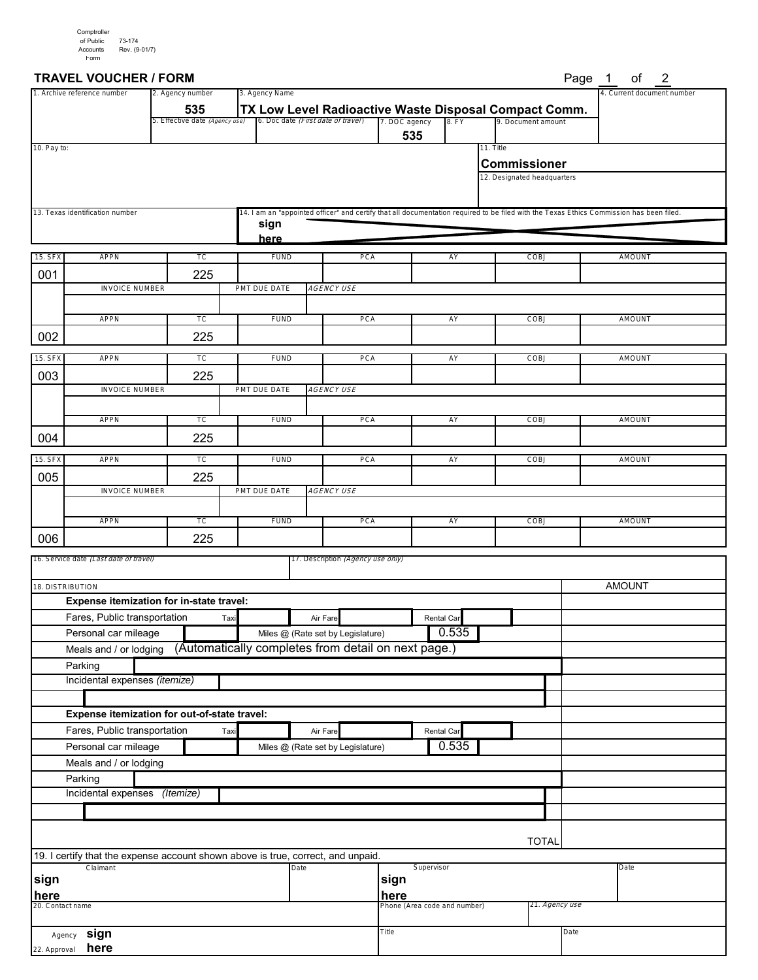#### **TRAVEL VOUCHER / FORM** Page 1 of 2

| Page | οf | 2 |
|------|----|---|
|      |    |   |

|                  | 3. Agency Name<br>2. Agency number<br>1. Archive reference number                            |                                       |                                                                                             |                                               |                              |                     |                                                    | 4. Current document number |                                                                                                                                          |
|------------------|----------------------------------------------------------------------------------------------|---------------------------------------|---------------------------------------------------------------------------------------------|-----------------------------------------------|------------------------------|---------------------|----------------------------------------------------|----------------------------|------------------------------------------------------------------------------------------------------------------------------------------|
|                  |                                                                                              | 535<br>5. Effective date (Agency use) | TX Low Level Radioactive Waste Disposal Compact Comm.<br>6. Doc date (First date of travel) |                                               | 7. DOC agency                | 8. FY               |                                                    | 9. Document amount         |                                                                                                                                          |
|                  |                                                                                              |                                       |                                                                                             |                                               | 535                          |                     |                                                    |                            |                                                                                                                                          |
| 10. Pay to:      |                                                                                              |                                       |                                                                                             |                                               |                              |                     | 11. Title                                          |                            |                                                                                                                                          |
|                  |                                                                                              |                                       |                                                                                             |                                               |                              |                     | <b>Commissioner</b><br>12. Designated headquarters |                            |                                                                                                                                          |
|                  |                                                                                              |                                       |                                                                                             |                                               |                              |                     |                                                    |                            |                                                                                                                                          |
|                  | 13. Texas identification number                                                              |                                       |                                                                                             |                                               |                              |                     |                                                    |                            | 14. I am an "appointed officer" and certify that all documentation required to be filed with the Texas Ethics Commission has been filed. |
|                  |                                                                                              |                                       | sign                                                                                        |                                               |                              |                     |                                                    |                            |                                                                                                                                          |
|                  |                                                                                              |                                       | here                                                                                        |                                               |                              |                     |                                                    |                            |                                                                                                                                          |
| 15. SF>          | <b>APPN</b>                                                                                  | TC                                    | <b>FUND</b>                                                                                 | PCA                                           |                              | AY                  |                                                    | COBJ                       | AMOUNT                                                                                                                                   |
| 001              |                                                                                              | 225                                   |                                                                                             |                                               |                              |                     |                                                    |                            |                                                                                                                                          |
|                  | <b>INVOICE NUMBER</b>                                                                        |                                       | PMT DUE DATE                                                                                | <b>AGENCY USE</b>                             |                              |                     |                                                    |                            |                                                                                                                                          |
|                  | <b>APPN</b>                                                                                  | TC                                    | <b>FUND</b>                                                                                 | PCA                                           |                              | AY                  |                                                    | COBJ                       | AMOUNT                                                                                                                                   |
| 002              |                                                                                              | 225                                   |                                                                                             |                                               |                              |                     |                                                    |                            |                                                                                                                                          |
|                  |                                                                                              |                                       |                                                                                             |                                               |                              |                     |                                                    |                            |                                                                                                                                          |
| 15. SF>          | <b>APPN</b>                                                                                  | TC                                    | <b>FUND</b>                                                                                 | PCA                                           |                              | AY                  |                                                    | COBJ                       | AMOUNT                                                                                                                                   |
| 003              | <b>INVOICE NUMBER</b>                                                                        | 225                                   | PMT DUE DATE                                                                                | <b>AGENCY USE</b>                             |                              |                     |                                                    |                            |                                                                                                                                          |
|                  |                                                                                              |                                       |                                                                                             |                                               |                              |                     |                                                    |                            |                                                                                                                                          |
|                  | <b>APPN</b>                                                                                  | TC                                    | <b>FUND</b>                                                                                 | PCA                                           |                              | AY                  |                                                    | COBJ                       | AMOUNT                                                                                                                                   |
| 004              |                                                                                              | 225                                   |                                                                                             |                                               |                              |                     |                                                    |                            |                                                                                                                                          |
| 15. SFX          | <b>APPN</b>                                                                                  | TC                                    | <b>FUND</b>                                                                                 | PCA                                           |                              | AY                  |                                                    | COBJ                       | AMOUNT                                                                                                                                   |
| 005              |                                                                                              | 225                                   |                                                                                             |                                               |                              |                     |                                                    |                            |                                                                                                                                          |
|                  | <b>INVOICE NUMBER</b>                                                                        |                                       | PMT DUE DATE                                                                                | <b>AGENCY USE</b>                             |                              |                     |                                                    |                            |                                                                                                                                          |
|                  |                                                                                              |                                       |                                                                                             |                                               |                              |                     |                                                    |                            |                                                                                                                                          |
|                  | <b>APPN</b>                                                                                  | TC                                    | <b>FUND</b>                                                                                 | PCA                                           |                              | AY                  |                                                    | COBJ                       | AMOUNT                                                                                                                                   |
| 006              |                                                                                              | 225                                   |                                                                                             |                                               |                              |                     |                                                    |                            |                                                                                                                                          |
|                  | 16. Service date (Last date of travel)                                                       |                                       |                                                                                             | 17. Description <i>(Agency use only)</i>      |                              |                     |                                                    |                            |                                                                                                                                          |
|                  | 18. DISTRIBUTION                                                                             |                                       |                                                                                             |                                               |                              |                     |                                                    |                            | <b>AMOUNT</b>                                                                                                                            |
|                  | Expense itemization for in-state travel:                                                     |                                       |                                                                                             |                                               |                              |                     |                                                    |                            |                                                                                                                                          |
|                  | Fares, Public transportation                                                                 | Taxi                                  |                                                                                             | Air Fare                                      |                              | Rental Car          |                                                    |                            |                                                                                                                                          |
|                  | Personal car mileage                                                                         |                                       |                                                                                             | Miles @ (Rate set by Legislature)             |                              | 0.535               |                                                    |                            |                                                                                                                                          |
|                  | Meals and / or lodging (Automatically completes from detail on next page.)                   |                                       |                                                                                             |                                               |                              |                     |                                                    |                            |                                                                                                                                          |
|                  | Parking                                                                                      |                                       |                                                                                             |                                               |                              |                     |                                                    |                            |                                                                                                                                          |
|                  | Incidental expenses (itemize)                                                                |                                       |                                                                                             |                                               |                              |                     |                                                    |                            |                                                                                                                                          |
|                  |                                                                                              |                                       |                                                                                             |                                               |                              |                     |                                                    |                            |                                                                                                                                          |
|                  | Expense itemization for out-of-state travel:                                                 |                                       |                                                                                             |                                               |                              |                     |                                                    |                            |                                                                                                                                          |
|                  | Fares, Public transportation<br>Personal car mileage                                         | Taxi                                  |                                                                                             | Air Fare<br>Miles @ (Rate set by Legislature) |                              | Rental Car<br>0.535 |                                                    |                            |                                                                                                                                          |
|                  | Meals and / or lodging                                                                       |                                       |                                                                                             |                                               |                              |                     |                                                    |                            |                                                                                                                                          |
|                  | Parking                                                                                      |                                       |                                                                                             |                                               |                              |                     |                                                    |                            |                                                                                                                                          |
|                  | Incidental expenses                                                                          | (Itemize)                             |                                                                                             |                                               |                              |                     |                                                    |                            |                                                                                                                                          |
|                  |                                                                                              |                                       |                                                                                             |                                               |                              |                     |                                                    |                            |                                                                                                                                          |
|                  |                                                                                              |                                       |                                                                                             |                                               |                              |                     |                                                    |                            |                                                                                                                                          |
|                  |                                                                                              |                                       |                                                                                             |                                               |                              |                     |                                                    | <b>TOTAL</b>               |                                                                                                                                          |
|                  | 19. I certify that the expense account shown above is true, correct, and unpaid.<br>Claimant |                                       | Date                                                                                        |                                               | Supervisor                   |                     |                                                    |                            | Date                                                                                                                                     |
| sign             |                                                                                              |                                       |                                                                                             |                                               | sign                         |                     |                                                    |                            |                                                                                                                                          |
| here             |                                                                                              |                                       |                                                                                             |                                               | here                         |                     |                                                    |                            |                                                                                                                                          |
| 20. Contact name |                                                                                              |                                       |                                                                                             |                                               | Phone (Area code and number) |                     |                                                    | 21. <i>Agency use</i>      |                                                                                                                                          |
|                  | sign<br>Agency                                                                               |                                       |                                                                                             |                                               | Title                        |                     |                                                    | Date                       |                                                                                                                                          |
| 22. Approval     | here                                                                                         |                                       |                                                                                             |                                               |                              |                     |                                                    |                            |                                                                                                                                          |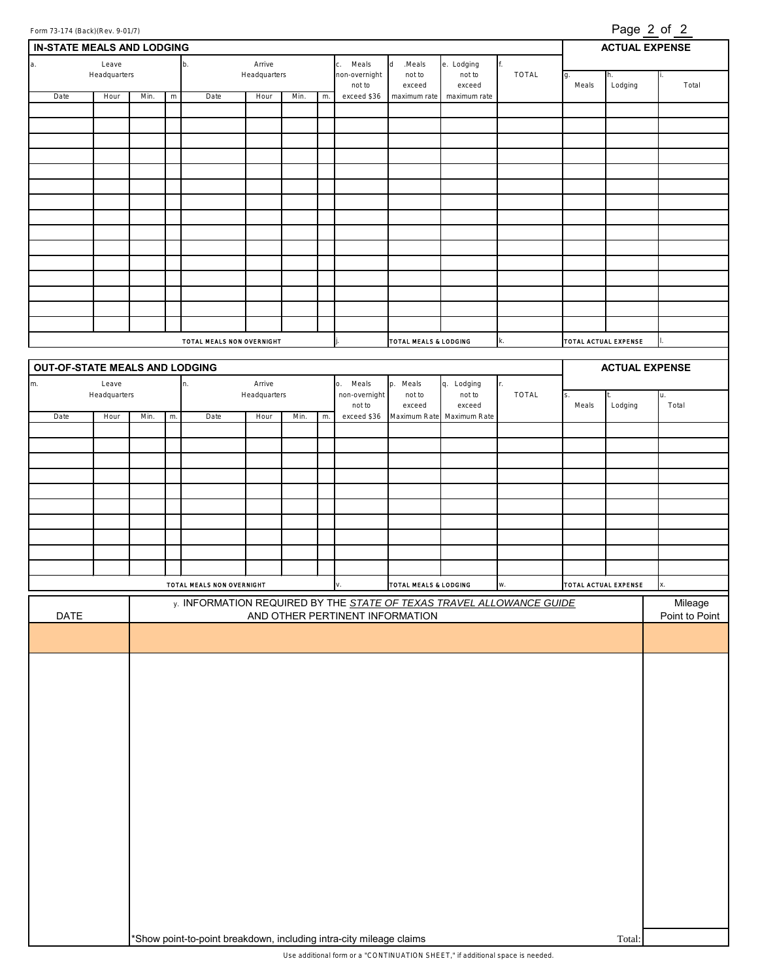| <u>Page 2 of 2</u><br>Form 73-174 (Back)(Rev. 9-01/7) |                                                                               |      |              |                           |                        |          |                                |                                 |                                  |                           |                                                                      |                      |                       |                |
|-------------------------------------------------------|-------------------------------------------------------------------------------|------|--------------|---------------------------|------------------------|----------|--------------------------------|---------------------------------|----------------------------------|---------------------------|----------------------------------------------------------------------|----------------------|-----------------------|----------------|
| <b>ACTUAL EXPENSE</b><br>IN-STATE MEALS AND LODGING   |                                                                               |      |              |                           |                        |          |                                |                                 |                                  |                           |                                                                      |                      |                       |                |
| a.<br>Leave<br>Arrive<br>b.                           |                                                                               |      |              |                           |                        | c. Meals | $\,$ d<br>.Meals<br>e. Lodging |                                 |                                  |                           |                                                                      |                      |                       |                |
|                                                       | Headquarters                                                                  |      | Headquarters |                           |                        |          | non-overnight                  | not to                          | not to                           | TOTAL                     | g.                                                                   |                      |                       |                |
| Date                                                  | Hour                                                                          | Min. | ${\sf m}$    | Date                      | Hour                   | Min.     | m.                             | not to<br>exceed \$36           | exceed<br>maximum rate           | exceed<br>maximum rate    |                                                                      | Meals                | Lodging               | Total          |
|                                                       |                                                                               |      |              |                           |                        |          |                                |                                 |                                  |                           |                                                                      |                      |                       |                |
|                                                       |                                                                               |      |              |                           |                        |          |                                |                                 |                                  |                           |                                                                      |                      |                       |                |
|                                                       |                                                                               |      |              |                           |                        |          |                                |                                 |                                  |                           |                                                                      |                      |                       |                |
|                                                       |                                                                               |      |              |                           |                        |          |                                |                                 |                                  |                           |                                                                      |                      |                       |                |
|                                                       |                                                                               |      |              |                           |                        |          |                                |                                 |                                  |                           |                                                                      |                      |                       |                |
|                                                       |                                                                               |      |              |                           |                        |          |                                |                                 |                                  |                           |                                                                      |                      |                       |                |
|                                                       |                                                                               |      |              |                           |                        |          |                                |                                 |                                  |                           |                                                                      |                      |                       |                |
|                                                       |                                                                               |      |              |                           |                        |          |                                |                                 |                                  |                           |                                                                      |                      |                       |                |
|                                                       |                                                                               |      |              |                           |                        |          |                                |                                 |                                  |                           |                                                                      |                      |                       |                |
|                                                       |                                                                               |      |              |                           |                        |          |                                |                                 |                                  |                           |                                                                      |                      |                       |                |
|                                                       |                                                                               |      |              |                           |                        |          |                                |                                 |                                  |                           |                                                                      |                      |                       |                |
|                                                       |                                                                               |      |              |                           |                        |          |                                |                                 |                                  |                           |                                                                      |                      |                       |                |
|                                                       |                                                                               |      |              |                           |                        |          |                                |                                 |                                  |                           |                                                                      |                      |                       |                |
|                                                       |                                                                               |      |              |                           |                        |          |                                |                                 |                                  |                           |                                                                      |                      |                       |                |
|                                                       |                                                                               |      |              |                           |                        |          |                                |                                 |                                  |                           |                                                                      |                      |                       |                |
|                                                       |                                                                               |      |              |                           |                        |          |                                |                                 |                                  |                           |                                                                      |                      |                       |                |
|                                                       |                                                                               |      |              | TOTAL MEALS NON OVERNIGHT |                        |          |                                |                                 | <b>TOTAL MEALS &amp; LODGING</b> |                           | k.                                                                   | TOTAL ACTUAL EXPENSE |                       |                |
|                                                       |                                                                               |      |              |                           |                        |          |                                |                                 |                                  |                           |                                                                      |                      |                       |                |
| OUT-OF-STATE MEALS AND LODGING                        |                                                                               |      |              |                           |                        |          |                                |                                 |                                  |                           |                                                                      |                      | <b>ACTUAL EXPENSE</b> |                |
| m.                                                    | Leave<br>Headquarters                                                         |      |              | n.                        | Arrive<br>Headquarters |          |                                | o. Meals<br>non-overnight       | p. Meals<br>not to               | q. Lodging<br>not to      | TOTAL                                                                |                      |                       | u.             |
|                                                       |                                                                               |      |              |                           |                        |          |                                | not to                          | exceed                           | exceed                    |                                                                      | Meals                | Lodging               | Total          |
| Date                                                  | Hour                                                                          | Min. | $m$ .        | Date                      | Hour                   | Min.     | m.                             | exceed \$36                     |                                  | Maximum Rate Maximum Rate |                                                                      |                      |                       |                |
|                                                       |                                                                               |      |              |                           |                        |          |                                |                                 |                                  |                           |                                                                      |                      |                       |                |
|                                                       |                                                                               |      |              |                           |                        |          |                                |                                 |                                  |                           |                                                                      |                      |                       |                |
|                                                       |                                                                               |      |              |                           |                        |          |                                |                                 |                                  |                           |                                                                      |                      |                       |                |
|                                                       |                                                                               |      |              |                           |                        |          |                                |                                 |                                  |                           |                                                                      |                      |                       |                |
|                                                       |                                                                               |      |              |                           |                        |          |                                |                                 |                                  |                           |                                                                      |                      |                       |                |
|                                                       |                                                                               |      |              |                           |                        |          |                                |                                 |                                  |                           |                                                                      |                      |                       |                |
|                                                       |                                                                               |      |              |                           |                        |          |                                |                                 |                                  |                           |                                                                      |                      |                       |                |
|                                                       |                                                                               |      |              |                           |                        |          |                                |                                 |                                  |                           |                                                                      |                      |                       |                |
|                                                       |                                                                               |      |              |                           |                        |          |                                |                                 |                                  |                           |                                                                      |                      |                       |                |
|                                                       |                                                                               |      |              |                           |                        |          |                                |                                 |                                  |                           |                                                                      |                      |                       |                |
|                                                       |                                                                               |      |              | TOTAL MEALS NON OVERNIGHT |                        |          |                                | ν.                              | TOTAL MEALS & LODGING            |                           | W.                                                                   | TOTAL ACTUAL EXPENSE |                       | x.             |
|                                                       |                                                                               |      |              |                           |                        |          |                                |                                 |                                  |                           | y. INFORMATION REQUIRED BY THE STATE OF TEXAS TRAVEL ALLOWANCE GUIDE |                      |                       | Mileage        |
| <b>DATE</b>                                           |                                                                               |      |              |                           |                        |          |                                | AND OTHER PERTINENT INFORMATION |                                  |                           |                                                                      |                      |                       | Point to Point |
|                                                       |                                                                               |      |              |                           |                        |          |                                |                                 |                                  |                           |                                                                      |                      |                       |                |
|                                                       |                                                                               |      |              |                           |                        |          |                                |                                 |                                  |                           |                                                                      |                      |                       |                |
|                                                       |                                                                               |      |              |                           |                        |          |                                |                                 |                                  |                           |                                                                      |                      |                       |                |
|                                                       |                                                                               |      |              |                           |                        |          |                                |                                 |                                  |                           |                                                                      |                      |                       |                |
|                                                       |                                                                               |      |              |                           |                        |          |                                |                                 |                                  |                           |                                                                      |                      |                       |                |
|                                                       |                                                                               |      |              |                           |                        |          |                                |                                 |                                  |                           |                                                                      |                      |                       |                |
|                                                       |                                                                               |      |              |                           |                        |          |                                |                                 |                                  |                           |                                                                      |                      |                       |                |
|                                                       |                                                                               |      |              |                           |                        |          |                                |                                 |                                  |                           |                                                                      |                      |                       |                |
|                                                       |                                                                               |      |              |                           |                        |          |                                |                                 |                                  |                           |                                                                      |                      |                       |                |
|                                                       |                                                                               |      |              |                           |                        |          |                                |                                 |                                  |                           |                                                                      |                      |                       |                |
|                                                       |                                                                               |      |              |                           |                        |          |                                |                                 |                                  |                           |                                                                      |                      |                       |                |
|                                                       |                                                                               |      |              |                           |                        |          |                                |                                 |                                  |                           |                                                                      |                      |                       |                |
|                                                       |                                                                               |      |              |                           |                        |          |                                |                                 |                                  |                           |                                                                      |                      |                       |                |
|                                                       |                                                                               |      |              |                           |                        |          |                                |                                 |                                  |                           |                                                                      |                      |                       |                |
|                                                       |                                                                               |      |              |                           |                        |          |                                |                                 |                                  |                           |                                                                      |                      |                       |                |
|                                                       |                                                                               |      |              |                           |                        |          |                                |                                 |                                  |                           |                                                                      |                      |                       |                |
|                                                       |                                                                               |      |              |                           |                        |          |                                |                                 |                                  |                           |                                                                      |                      |                       |                |
|                                                       |                                                                               |      |              |                           |                        |          |                                |                                 |                                  |                           |                                                                      |                      |                       |                |
|                                                       |                                                                               |      |              |                           |                        |          |                                |                                 |                                  |                           |                                                                      |                      |                       |                |
|                                                       |                                                                               |      |              |                           |                        |          |                                |                                 |                                  |                           |                                                                      |                      |                       |                |
|                                                       |                                                                               |      |              |                           |                        |          |                                |                                 |                                  |                           |                                                                      |                      |                       |                |
|                                                       | *Show point-to-point breakdown, including intra-city mileage claims<br>Total: |      |              |                           |                        |          |                                |                                 |                                  |                           |                                                                      |                      |                       |                |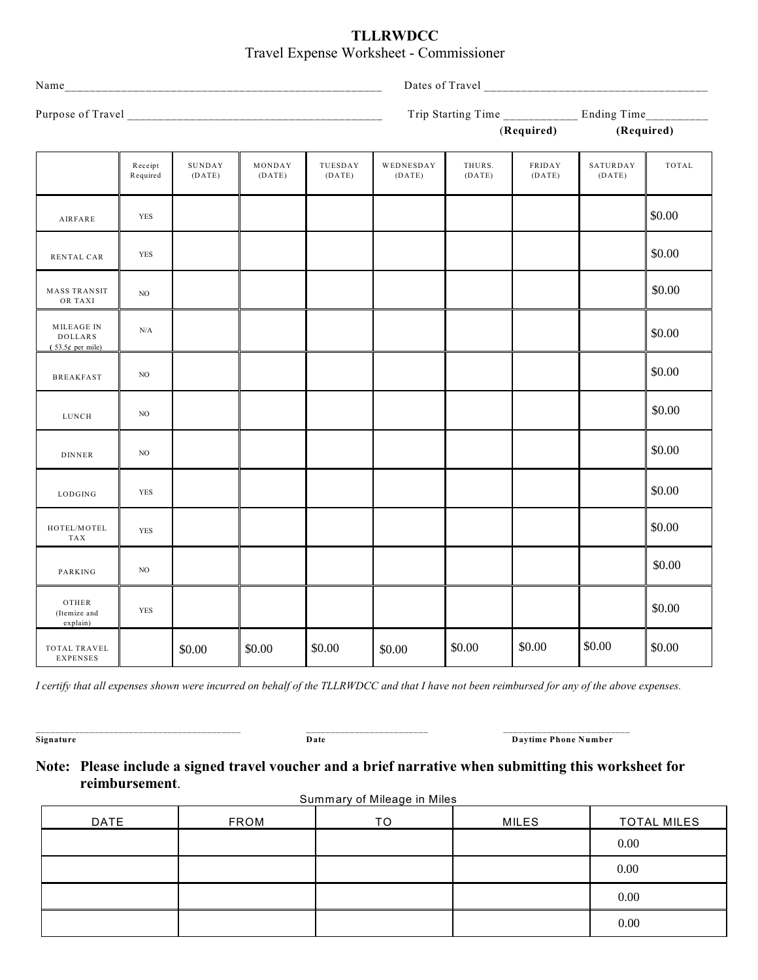## **TLLRWDCC** Travel Expense Worksheet - Commissioner

|                                                    |                     |                  |                  |                   |                     | Trip Starting Time ____________ Ending Time_ |                  |                    | _________ |  |  |
|----------------------------------------------------|---------------------|------------------|------------------|-------------------|---------------------|----------------------------------------------|------------------|--------------------|-----------|--|--|
|                                                    |                     |                  |                  |                   |                     | (Required)<br>(Required)                     |                  |                    |           |  |  |
|                                                    | Receipt<br>Required | SUNDAY<br>(DATE) | MONDAY<br>(DATE) | TUESDAY<br>(DATE) | WEDNESDAY<br>(DATE) | THURS.<br>(DATE)                             | FRIDAY<br>(DATE) | SATURDAY<br>(DATE) | TOTAL     |  |  |
| AIRFARE                                            | <b>YES</b>          |                  |                  |                   |                     |                                              |                  |                    | \$0.00    |  |  |
| RENTAL CAR                                         | <b>YES</b>          |                  |                  |                   |                     |                                              |                  |                    | \$0.00    |  |  |
| <b>MASS TRANSIT</b><br>OR TAXI                     | NO                  |                  |                  |                   |                     |                                              |                  |                    | \$0.00    |  |  |
| MILEAGE IN<br><b>DOLLARS</b><br>$(53.5¢$ per mile) | $\rm N/A$           |                  |                  |                   |                     |                                              |                  |                    | \$0.00    |  |  |
| <b>BREAKFAST</b>                                   | NO.                 |                  |                  |                   |                     |                                              |                  |                    | \$0.00    |  |  |
| LUNCH                                              | NO                  |                  |                  |                   |                     |                                              |                  |                    | \$0.00    |  |  |
| <b>DINNER</b>                                      | NO                  |                  |                  |                   |                     |                                              |                  |                    | \$0.00    |  |  |
| LODGING                                            | <b>YES</b>          |                  |                  |                   |                     |                                              |                  |                    | \$0.00    |  |  |
| HOTEL/MOTEL<br>TAX                                 | <b>YES</b>          |                  |                  |                   |                     |                                              |                  |                    | \$0.00    |  |  |
| PARKING                                            | NO                  |                  |                  |                   |                     |                                              |                  |                    | \$0.00    |  |  |
| OTHER<br>(Itemize and<br>explain)                  | <b>YES</b>          |                  |                  |                   |                     |                                              |                  |                    | \$0.00    |  |  |
| TOTAL TRAVEL<br><b>EXPENSES</b>                    |                     | \$0.00           | \$0.00           | \$0.00            | \$0.00              | \$0.00                                       | \$0.00           | \$0.00             | \$0.00    |  |  |

*I certify that all expenses shown were incurred on behalf of the TLLRWDCC and that I have not been reimbursed for any of the above expenses.*

*\_\_\_\_\_\_\_\_\_\_\_\_\_\_\_\_\_\_\_\_\_\_\_\_\_\_\_\_\_\_\_\_\_\_\_\_\_\_\_\_\_\_* \_\_\_\_\_\_\_\_\_\_\_\_\_\_\_\_\_\_\_\_\_\_\_\_\_ \_\_\_\_\_\_\_\_\_\_\_\_\_\_\_\_\_\_\_\_\_\_\_\_\_\_ **Signature Date Daytime Phone Number**

# **Note: Please include a signed travel voucher and a brief narrative when submitting this worksheet for reimbursement**.

Summary of Mileage in Miles

| DATE | <b>FROM</b> | TΟ | <b>MILES</b> | <b>TOTAL MILES</b> |
|------|-------------|----|--------------|--------------------|
|      |             |    |              | 0.00               |
|      |             |    |              | 0.00               |
|      |             |    |              | 0.00               |
|      |             |    |              | 0.00               |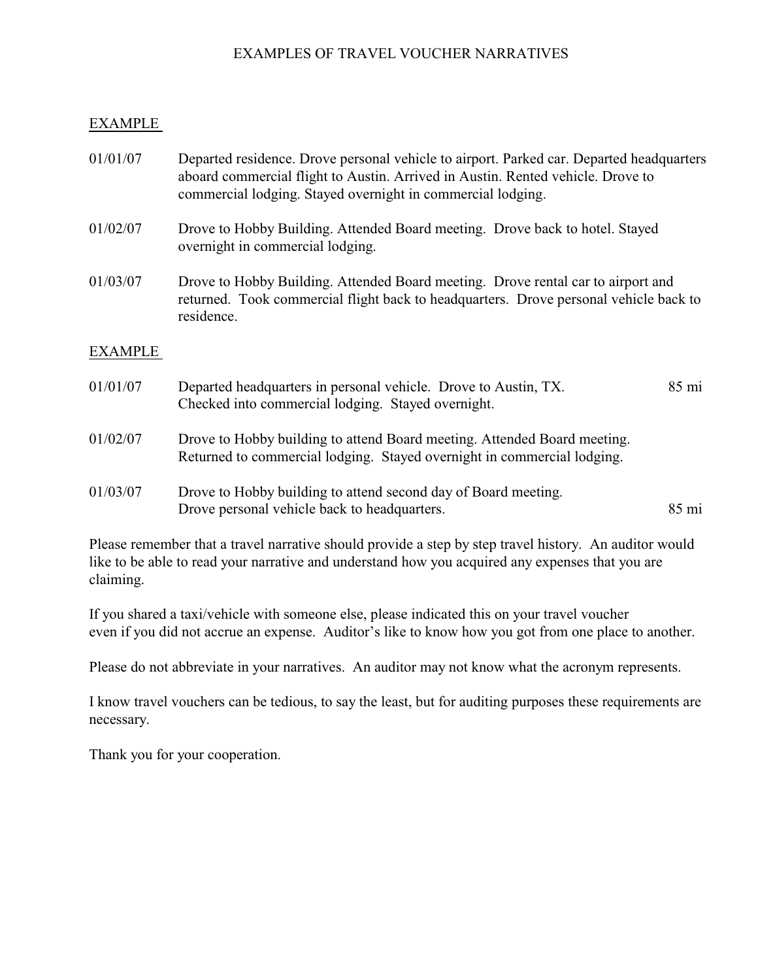## EXAMPLES OF TRAVEL VOUCHER NARRATIVES

#### EXAMPLE

01/01/07 Departed residence. Drove personal vehicle to airport. Parked car. Departed headquarters aboard commercial flight to Austin. Arrived in Austin. Rented vehicle. Drove to commercial lodging. Stayed overnight in commercial lodging. 01/02/07 Drove to Hobby Building. Attended Board meeting. Drove back to hotel. Stayed overnight in commercial lodging. 01/03/07 Drove to Hobby Building. Attended Board meeting. Drove rental car to airport and returned. Took commercial flight back to headquarters. Drove personal vehicle back to residence.

#### EXAMPLE

| 01/01/07 | Departed headquarters in personal vehicle. Drove to Austin, TX.<br>Checked into commercial lodging. Stayed overnight.                               | $85 \text{ mi}$ |
|----------|-----------------------------------------------------------------------------------------------------------------------------------------------------|-----------------|
| 01/02/07 | Drove to Hobby building to attend Board meeting. Attended Board meeting.<br>Returned to commercial lodging. Stayed overnight in commercial lodging. |                 |
| 01/03/07 | Drove to Hobby building to attend second day of Board meeting.<br>Drove personal vehicle back to headquarters.                                      | $85 \text{ mi}$ |

Please remember that a travel narrative should provide a step by step travel history. An auditor would like to be able to read your narrative and understand how you acquired any expenses that you are claiming.

If you shared a taxi/vehicle with someone else, please indicated this on your travel voucher even if you did not accrue an expense. Auditor's like to know how you got from one place to another.

Please do not abbreviate in your narratives. An auditor may not know what the acronym represents.

I know travel vouchers can be tedious, to say the least, but for auditing purposes these requirements are necessary.

Thank you for your cooperation.